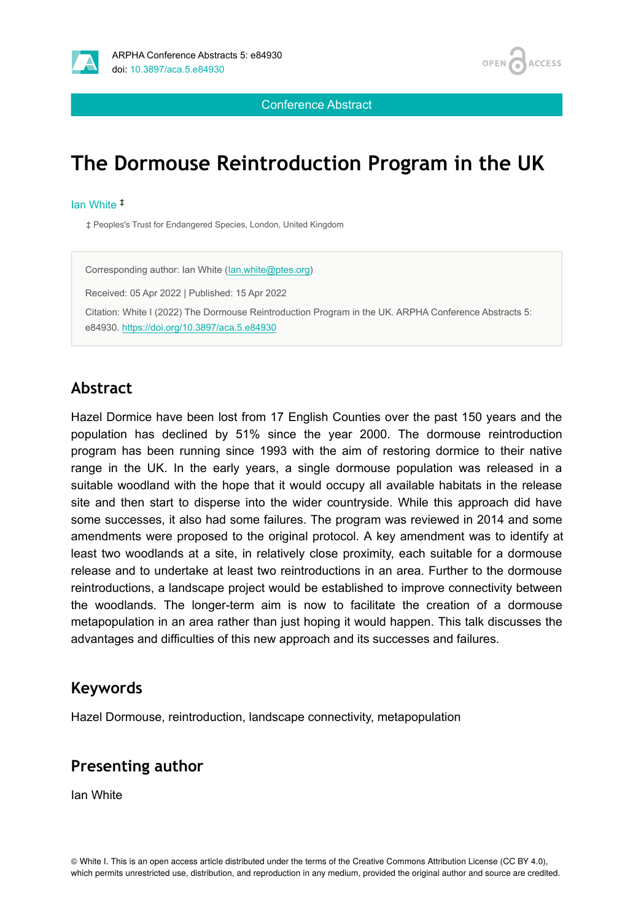

Conference Abstract

# **The Dormouse Reintroduction Program in the UK**

#### Ian White ‡

‡ Peoples's Trust for Endangered Species, London, United Kingdom

Corresponding author: Ian White [\(Ian.white@ptes.org\)](mailto:Ian.white@ptes.org) Received: 05 Apr 2022 | Published: 15 Apr 2022 Citation: White I (2022) The Dormouse Reintroduction Program in the UK. ARPHA Conference Abstracts 5: e84930.<https://doi.org/10.3897/aca.5.e84930>

### **Abstract**

Hazel Dormice have been lost from 17 English Counties over the past 150 years and the population has declined by 51% since the year 2000. The dormouse reintroduction program has been running since 1993 with the aim of restoring dormice to their native range in the UK. In the early years, a single dormouse population was released in a suitable woodland with the hope that it would occupy all available habitats in the release site and then start to disperse into the wider countryside. While this approach did have some successes, it also had some failures. The program was reviewed in 2014 and some amendments were proposed to the original protocol. A key amendment was to identify at least two woodlands at a site, in relatively close proximity, each suitable for a dormouse release and to undertake at least two reintroductions in an area. Further to the dormouse reintroductions, a landscape project would be established to improve connectivity between the woodlands. The longer-term aim is now to facilitate the creation of a dormouse metapopulation in an area rather than just hoping it would happen. This talk discusses the advantages and difficulties of this new approach and its successes and failures.

#### **Keywords**

Hazel Dormouse, reintroduction, landscape connectivity, metapopulation

### **Presenting author**

Ian White